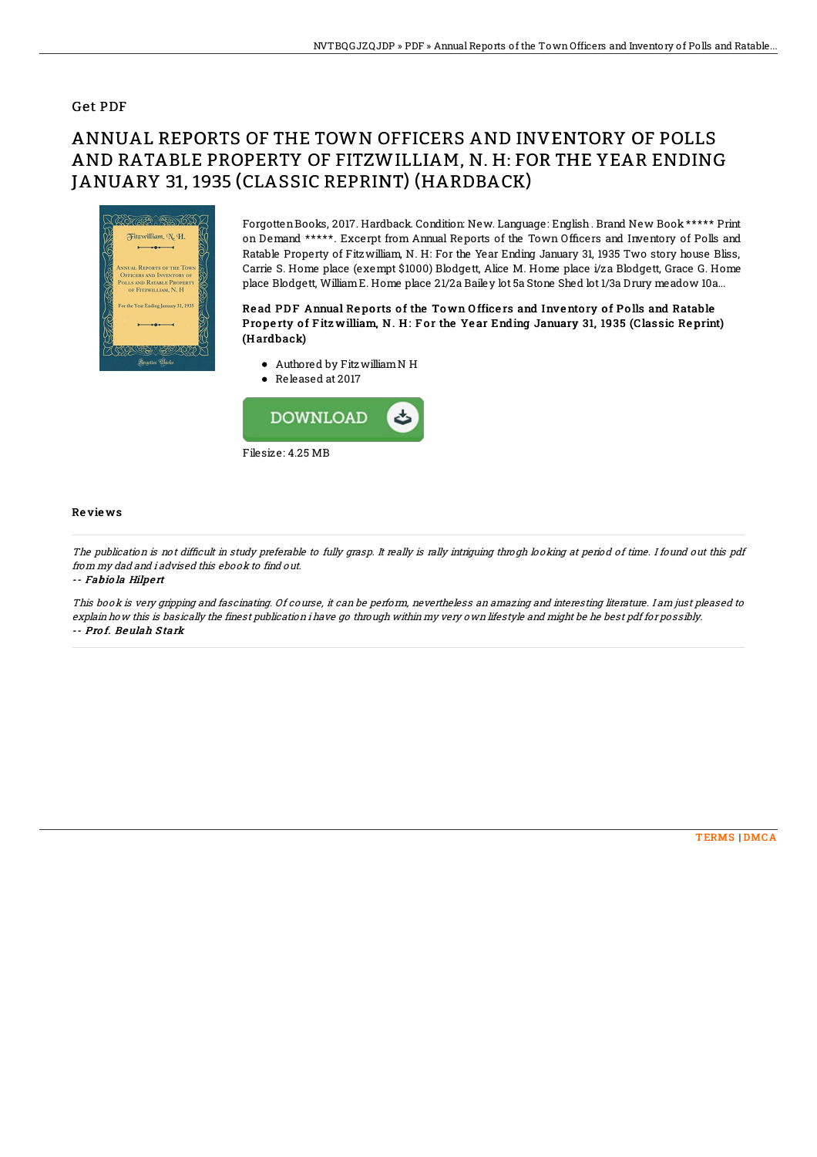### Get PDF

# ANNUAL REPORTS OF THE TOWN OFFICERS AND INVENTORY OF POLLS AND RATABLE PROPERTY OF FITZWILLIAM, N. H: FOR THE YEAR ENDING JANUARY 31, 1935 (CLASSIC REPRINT) (HARDBACK)



ForgottenBooks, 2017. Hardback. Condition: New. Language: English. Brand New Book \*\*\*\*\* Print on Demand \*\*\*\*\*. Excerpt from Annual Reports of the Town Officers and Inventory of Polls and Ratable Property of Fitzwilliam, N. H: For the Year Ending January 31, 1935 Two story house Bliss, Carrie S. Home place (exempt \$1000) Blodgett, Alice M. Home place i/za Blodgett, Grace G. Home place Blodgett, WilliamE. Home place 21/2a Bailey lot 5a Stone Shed lot 1/3a Drury meadow 10a...

#### Read PDF Annual Reports of the Town Officers and Inventory of Polls and Ratable Property of Fitz william, N. H: For the Year Ending January 31, 1935 (Classic Reprint) (H ardback)

- Authored by FitzwilliamN H
- Released at 2017



#### Re vie ws

The publication is not difficult in study preferable to fully grasp. It really is rally intriguing throgh looking at period of time. I found out this pdf from my dad and i advised this ebook to find out.

-- Fabio la Hilpert

This book is very gripping and fascinating. Of course, it can be perform, nevertheless an amazing and interesting literature. I am just pleased to explain how this is basically the finest publication i have go through within my very own lifestyle and might be he best pdf for possibly. -- Prof. Beulah Stark